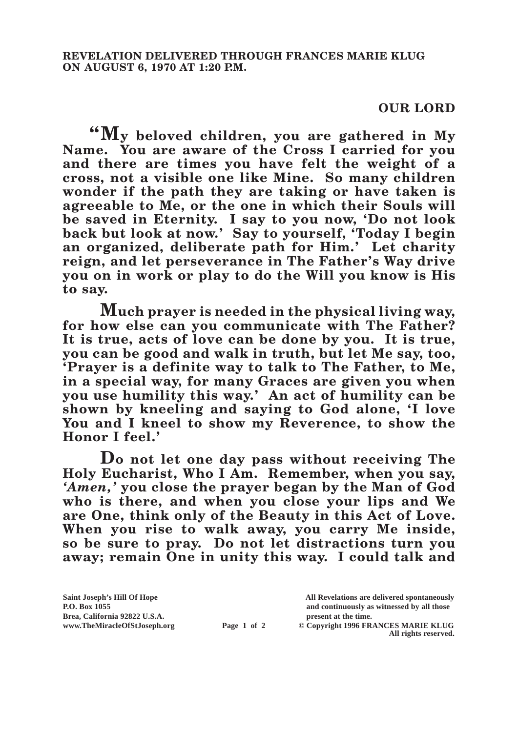## **OUR LORD**

**"My beloved children, you are gathered in My Name. You are aware of the Cross I carried for you and there are times you have felt the weight of a cross, not a visible one like Mine. So many children wonder if the path they are taking or have taken is agreeable to Me, or the one in which their Souls will be saved in Eternity. I say to you now, 'Do not look back but look at now.' Say to yourself, 'Today I begin an organized, deliberate path for Him.' Let charity reign, and let perseverance in The Father's Way drive you on in work or play to do the Will you know is His to say.**

**Much prayer is needed in the physical living way, for how else can you communicate with The Father? It is true, acts of love can be done by you. It is true, you can be good and walk in truth, but let Me say, too, 'Prayer is a definite way to talk to The Father, to Me, in a special way, for many Graces are given you when you use humility this way.' An act of humility can be shown by kneeling and saying to God alone, 'I love You and I kneel to show my Reverence, to show the Honor I feel.'**

**Do not let one day pass without receiving The Holy Eucharist, Who I Am. Remember, when you say,**  *'Amen,'* **you close the prayer began by the Man of God who is there, and when you close your lips and We are One, think only of the Beauty in this Act of Love. When you rise to walk away, you carry Me inside, so be sure to pray. Do not let distractions turn you away; remain One in unity this way. I could talk and** 

**Saint Joseph's Hill Of Hope All Revelations are delivered spontaneously P.O. Box 1055 and continuously as witnessed by all those** 

**www.TheMiracleOfStJoseph.org Page 1 of 2 © Copyright 1996 FRANCES MARIE KLUG All rights reserved.**